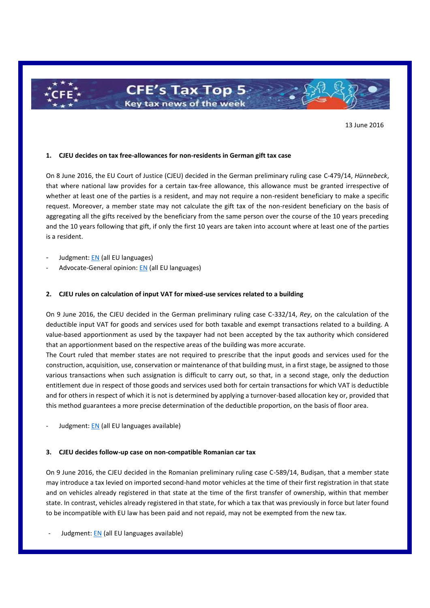

13 June 2016

#### **1. CJEU decides on tax free-allowances for non-residents in German gift tax case**

On 8 June 2016, the EU Court of Justice (CJEU) decided in the German preliminary ruling case C-479/14, *Hünnebeck*, that where national law provides for a certain tax-free allowance, this allowance must be granted irrespective of whether at least one of the parties is a resident, and may not require a non-resident beneficiary to make a specific request. Moreover, a member state may not calculate the gift tax of the non-resident beneficiary on the basis of aggregating all the gifts received by the beneficiary from the same person over the course of the 10 years preceding and the 10 years following that gift, if only the first 10 years are taken into account where at least one of the parties is a resident.

- Judgment[: EN](http://curia.europa.eu/juris/document/document.jsf?text=&docid=179701&pageIndex=0&doclang=EN&mode=lst&dir=&occ=first&part=1&cid=312904) (all EU languages)
- Advocate-General opinion: [EN](http://curia.europa.eu/juris/document/document.jsf?text=&docid=174453&pageIndex=0&doclang=EN&mode=lst&dir=&occ=first&part=1&cid=312904) (all EU languages)

#### **2. CJEU rules on calculation of input VAT for mixed-use services related to a building**

On 9 June 2016, the CJEU decided in the German preliminary ruling case C-332/14, *Rey*, on the calculation of the deductible input VAT for goods and services used for both taxable and exempt transactions related to a building. A value-based apportionment as used by the taxpayer had not been accepted by the tax authority which considered that an apportionment based on the respective areas of the building was more accurate.

The Court ruled that member states are not required to prescribe that the input goods and services used for the construction, acquisition, use, conservation or maintenance of that building must, in a first stage, be assigned to those various transactions when such assignation is difficult to carry out, so that, in a second stage, only the deduction entitlement due in respect of those goods and services used both for certain transactions for which VAT is deductible and for others in respect of which it is not is determined by applying a turnover-based allocation key or, provided that this method guarantees a more precise determination of the deductible proportion, on the basis of floor area.

Judgment[: EN](http://curia.europa.eu/juris/document/document.jsf?text=&docid=179790&pageIndex=0&doclang=en&mode=lst&dir=&occ=first&part=1&cid=312904) (all EU languages available)

#### **3. CJEU decides follow-up case on non-compatible Romanian car tax**

On 9 June 2016, the CJEU decided in the Romanian preliminary ruling case C-589/14, Budișan, that a member state may introduce a tax levied on imported second-hand motor vehicles at the time of their first registration in that state and on vehicles already registered in that state at the time of the first transfer of ownership, within that member state. In contrast, vehicles already registered in that state, for which a tax that was previously in force but later found to be incompatible with EU law has been paid and not repaid, may not be exempted from the new tax.

Judgment: [EN](http://curia.europa.eu/juris/document/document.jsf?text=&docid=179781&pageIndex=0&doclang=EN&mode=lst&dir=&occ=first&part=1&cid=321341) (all EU languages available)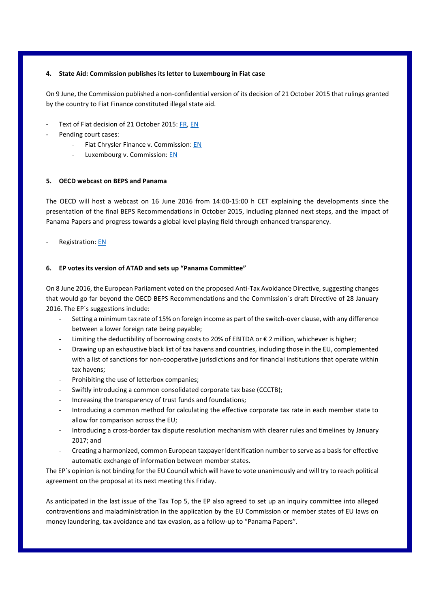## **4. State Aid: Commission publishes its letter to Luxembourg in Fiat case**

On 9 June, the Commission published a non-confidential version of its decision of 21 October 2015 that rulings granted by the country to Fiat Finance constituted illegal state aid.

- Text of Fiat decision of 21 October 2015: [FR,](http://ec.europa.eu/competition/state_aid/cases/253203/253203_1757563_317_2.pdf) [EN](http://ec.europa.eu/competition/state_aid/cases/253203/253203_1757564_318_2.pdf)
- Pending court cases:
	- Fiat Chrysler Finance v. Commission: [EN](http://curia.europa.eu/jurisp/cgi-bin/form.pl?lang=en&Submit=Submit&alldocs=alldocs&docj=docj&docop=docop&docor=docor&docjo=docjo&numaff=T-759/15&datefs=&datefe=&nomusuel=&domaine=&mots=&resmax=100)
	- Luxembourg v. Commission[: EN](http://curia.europa.eu/jurisp/cgi-bin/form.pl?lang=en&Submit=Submit&alldocs=alldocs&docj=docj&docop=docop&docor=docor&docjo=docjo&numaff=T-755/15&datefs=&datefe=&nomusuel=&domaine=&mots=&resmax=100)

# **5. OECD webcast on BEPS and Panama**

The OECD will host a webcast on 16 June 2016 from 14:00-15:00 h CET explaining the developments since the presentation of the final BEPS Recommendations in October 2015, including planned next steps, and the impact of Panama Papers and progress towards a global level playing field through enhanced transparency.

Registration: [EN](http://www.oecd.org/tax/tax-talks-webcasts.htm)

## **6. EP votes its version of ATAD and sets up "Panama Committee"**

On 8 June 2016, the European Parliament voted on the proposed Anti-Tax Avoidance Directive, suggesting changes that would go far beyond the OECD BEPS Recommendations and the Commission´s draft Directive of 28 January 2016. The EP´s suggestions include:

- Setting a minimum tax rate of 15% on foreign income as part of the switch-over clause, with any difference between a lower foreign rate being payable;
- Limiting the deductibility of borrowing costs to 20% of EBITDA or  $\epsilon$  2 million, whichever is higher;
- Drawing up an exhaustive black list of tax havens and countries, including those in the EU, complemented with a list of sanctions for non-cooperative jurisdictions and for financial institutions that operate within tax havens;
- Prohibiting the use of letterbox companies;
- Swiftly introducing a common consolidated corporate tax base (CCCTB);
- Increasing the transparency of trust funds and foundations;
- Introducing a common method for calculating the effective corporate tax rate in each member state to allow for comparison across the EU;
- Introducing a cross-border tax dispute resolution mechanism with clearer rules and timelines by January 2017; and
- Creating a harmonized, common European taxpayer identification number to serve as a basis for effective automatic exchange of information between member states.

The EP´s opinion is not binding for the EU Council which will have to vote unanimously and will try to reach political agreement on the proposal at its next meeting this Friday.

As anticipated in the last issue of the Tax Top 5, the EP also agreed to set up an inquiry committee into alleged contraventions and maladministration in the application by the EU Commission or member states of EU laws on money laundering, tax avoidance and tax evasion, as a follow-up to "Panama Papers".